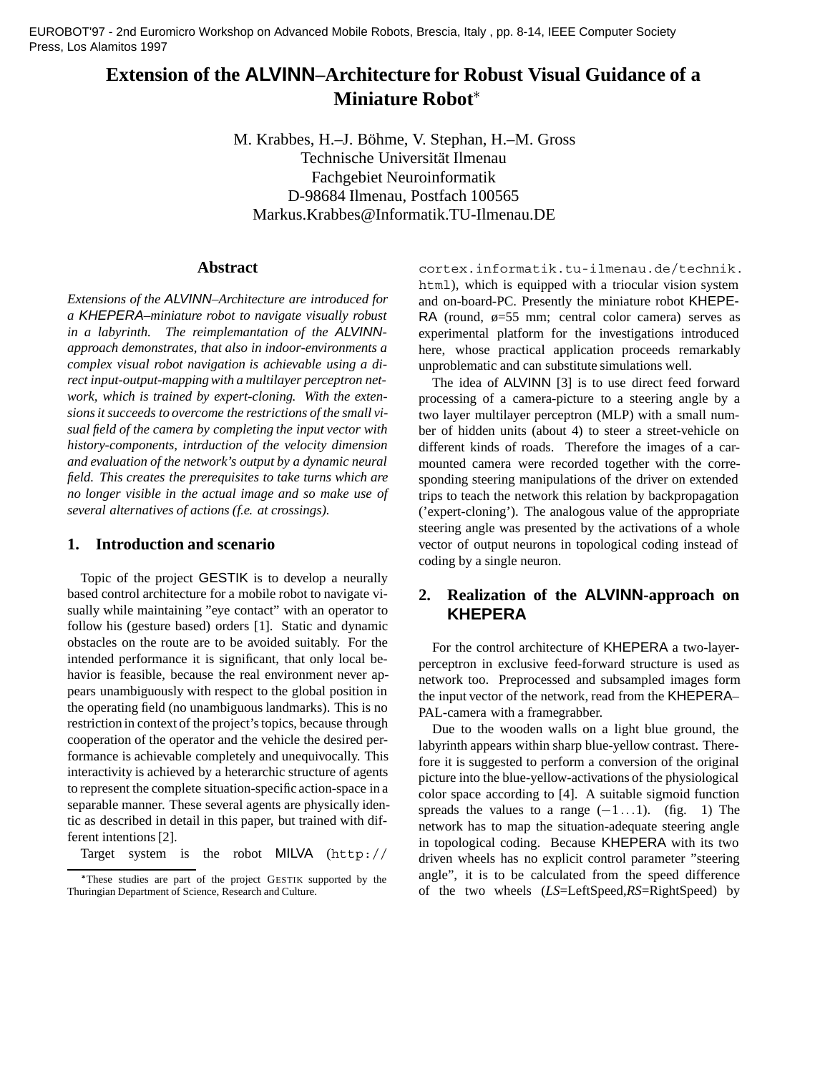EUROBOT'97 - 2nd Euromicro Workshop on Advanced Mobile Robots, Brescia, Italy , pp. 8-14, IEEE Computer Society Press, Los Alamitos 1997

# **Extension of the ALVINN–Architecture for Robust Visual Guidance of a Miniature Robot**

M. Krabbes, H.–J. Böhme, V. Stephan, H.–M. Gross Technische Universität Ilmenau Fachgebiet Neuroinformatik D-98684 Ilmenau, Postfach 100565 Markus.Krabbes@Informatik.TU-Ilmenau.DE

### **Abstract**

*Extensions of the ALVINN–Architecture are introduced for a KHEPERA–miniature robot to navigate visually robust in a labyrinth. The reimplemantation of the ALVINNapproach demonstrates, that also in indoor-environments a complex visual robot navigation is achievable using a direct input-output-mapping with a multilayer perceptron network, which is trained by expert-cloning. With the extensions it succeeds to overcome the restrictions of the small visual field of the camera by completing the input vector with history-components, intrduction of the velocity dimension and evaluation of the network's output by a dynamic neural field. This creates the prerequisites to take turns which are no longer visible in the actual image and so make use of several alternatives of actions (f.e. at crossings).*

### **1. Introduction and scenario**

Topic of the project GESTIK is to develop a neurally based control architecture for a mobile robot to navigate visually while maintaining "eye contact" with an operator to follow his (gesture based) orders [1]. Static and dynamic obstacles on the route are to be avoided suitably. For the intended performance it is significant, that only local behavior is feasible, because the real environment never appears unambiguously with respect to the global position in the operating field (no unambiguous landmarks). This is no restriction in context of the project's topics, because through cooperation of the operator and the vehicle the desired performance is achievable completely and unequivocally. This interactivity is achieved by a heterarchic structure of agents to represent the complete situation-specific action-space in a separable manner. These several agents are physically identic as described in detail in this paper, but trained with different intentions [2].

Target system is the robot MILVA (http://

cortex.informatik.tu-ilmenau.de/technik. html), which is equipped with a triocular vision system and on-board-PC. Presently the miniature robot KHEPE-RA (round,  $\phi = 55$  mm; central color camera) serves as experimental platform for the investigations introduced here, whose practical application proceeds remarkably unproblematic and can substitute simulations well.

The idea of ALVINN [3] is to use direct feed forward processing of a camera-picture to a steering angle by a two layer multilayer perceptron (MLP) with a small number of hidden units (about 4) to steer a street-vehicle on different kinds of roads. Therefore the images of a carmounted camera were recorded together with the corresponding steering manipulations of the driver on extended trips to teach the network this relation by backpropagation ('expert-cloning'). The analogous value of the appropriate steering angle was presented by the activations of a whole vector of output neurons in topological coding instead of coding by a single neuron.

## **2. Realization of the ALVINN-approach on KHEPERA**

For the control architecture of KHEPERA a two-layerperceptron in exclusive feed-forward structure is used as network too. Preprocessed and subsampled images form the input vector of the network, read from the KHEPERA– PAL-camera with a framegrabber.

Due to the wooden walls on a light blue ground, the labyrinth appears within sharp blue-yellow contrast. Therefore it is suggested to perform a conversion of the original picture into the blue-yellow-activations of the physiological color space according to [4]. A suitable sigmoid function spreads the values to a range  $(-1 \dots 1)$ . (fig. 1) The network has to map the situation-adequate steering angle in topological coding. Because KHEPERA with its two driven wheels has no explicit control parameter "steering angle", it is to be calculated from the speed difference of the two wheels (*LS*=LeftSpeed,*RS*=RightSpeed) by

These studies are part of the project GESTIK supported by the Thuringian Department of Science, Research and Culture.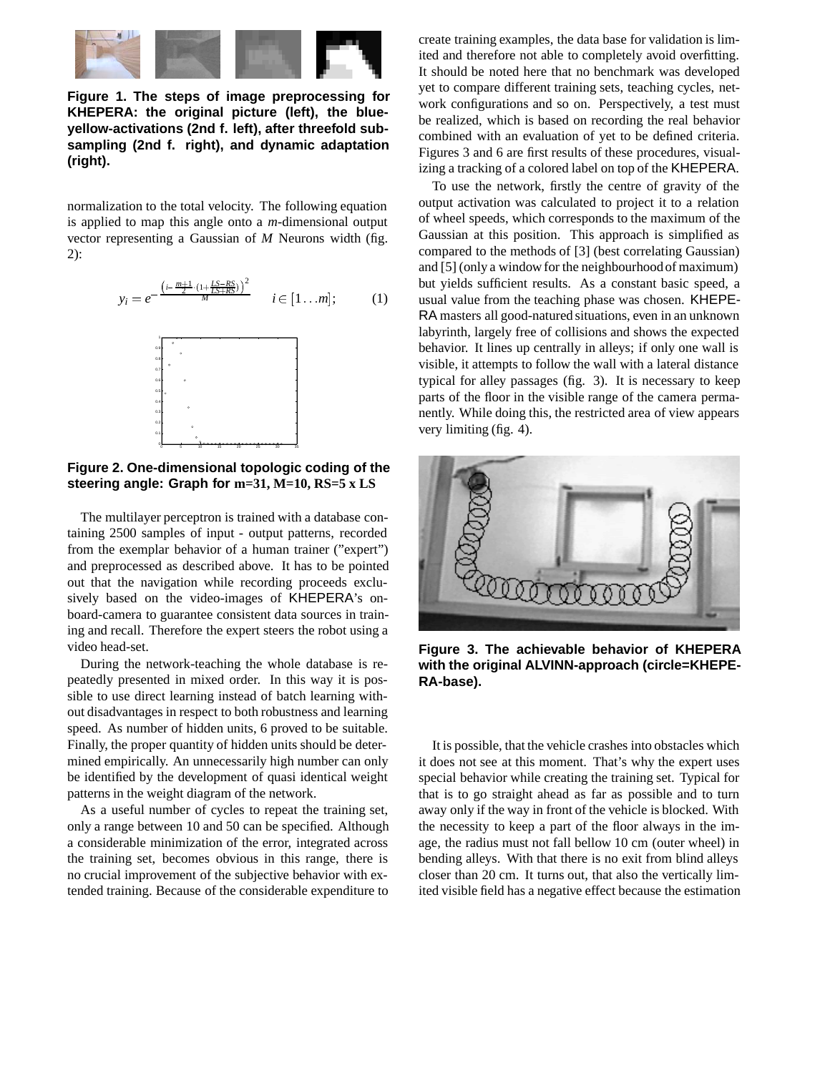

**Figure 1. The steps of image preprocessing for KHEPERA: the original picture (left), the blueyellow-activations (2nd f. left), after threefold subsampling (2nd f. right), and dynamic adaptation (right).**

normalization to the total velocity. The following equation is applied to map this angle onto a *m*-dimensional output vector representing a Gaussian of *M* Neurons width (fig. 2):

$$
y_i = e^{-\frac{\left(i - \frac{m+1}{2} \cdot (1 + \frac{LS - RS}{LS + RS})\right)^2}{M}} \quad i \in [1 \dots m]; \quad (1)
$$



**Figure 2. One-dimensional topologic coding of the steering angle: Graph for m=31, M=10, RS=5 x LS**

The multilayer perceptron is trained with a database containing 2500 samples of input - output patterns, recorded from the exemplar behavior of a human trainer ("expert") and preprocessed as described above. It has to be pointed out that the navigation while recording proceeds exclusively based on the video-images of KHEPERA's onboard-camera to guarantee consistent data sources in training and recall. Therefore the expert steers the robot using a video head-set.

During the network-teaching the whole database is repeatedly presented in mixed order. In this way it is possible to use direct learning instead of batch learning without disadvantages in respect to both robustness and learning speed. As number of hidden units, 6 proved to be suitable. Finally, the proper quantity of hidden units should be determined empirically. An unnecessarily high number can only be identified by the development of quasi identical weight patterns in the weight diagram of the network.

As a useful number of cycles to repeat the training set, only a range between 10 and 50 can be specified. Although a considerable minimization of the error, integrated across the training set, becomes obvious in this range, there is no crucial improvement of the subjective behavior with extended training. Because of the considerable expenditure to create training examples, the data base for validation is limited and therefore not able to completely avoid overfitting. It should be noted here that no benchmark was developed yet to compare different training sets, teaching cycles, network configurations and so on. Perspectively, a test must be realized, which is based on recording the real behavior combined with an evaluation of yet to be defined criteria. Figures 3 and 6 are first results of these procedures, visualizing a tracking of a colored label on top of the KHEPERA.

To use the network, firstly the centre of gravity of the output activation was calculated to project it to a relation of wheel speeds, which corresponds to the maximum of the Gaussian at this position. This approach is simplified as compared to the methods of [3] (best correlating Gaussian) and [5] (only a window for the neighbourhoodof maximum) but yields sufficient results. As a constant basic speed, a usual value from the teaching phase was chosen. KHEPE-RA masters all good-natured situations, even in an unknown labyrinth, largely free of collisions and shows the expected behavior. It lines up centrally in alleys; if only one wall is visible, it attempts to follow the wall with a lateral distance typical for alley passages (fig. 3). It is necessary to keep parts of the floor in the visible range of the camera permanently. While doing this, the restricted area of view appears very limiting (fig. 4).



**Figure 3. The achievable behavior of KHEPERA with the original ALVINN-approach (circle=KHEPE-RA-base).**

It is possible, that the vehicle crashes into obstacles which it does not see at this moment. That's why the expert uses special behavior while creating the training set. Typical for that is to go straight ahead as far as possible and to turn away only if the way in front of the vehicle is blocked. With the necessity to keep a part of the floor always in the image, the radius must not fall bellow 10 cm (outer wheel) in bending alleys. With that there is no exit from blind alleys closer than 20 cm. It turns out, that also the vertically limited visible field has a negative effect because the estimation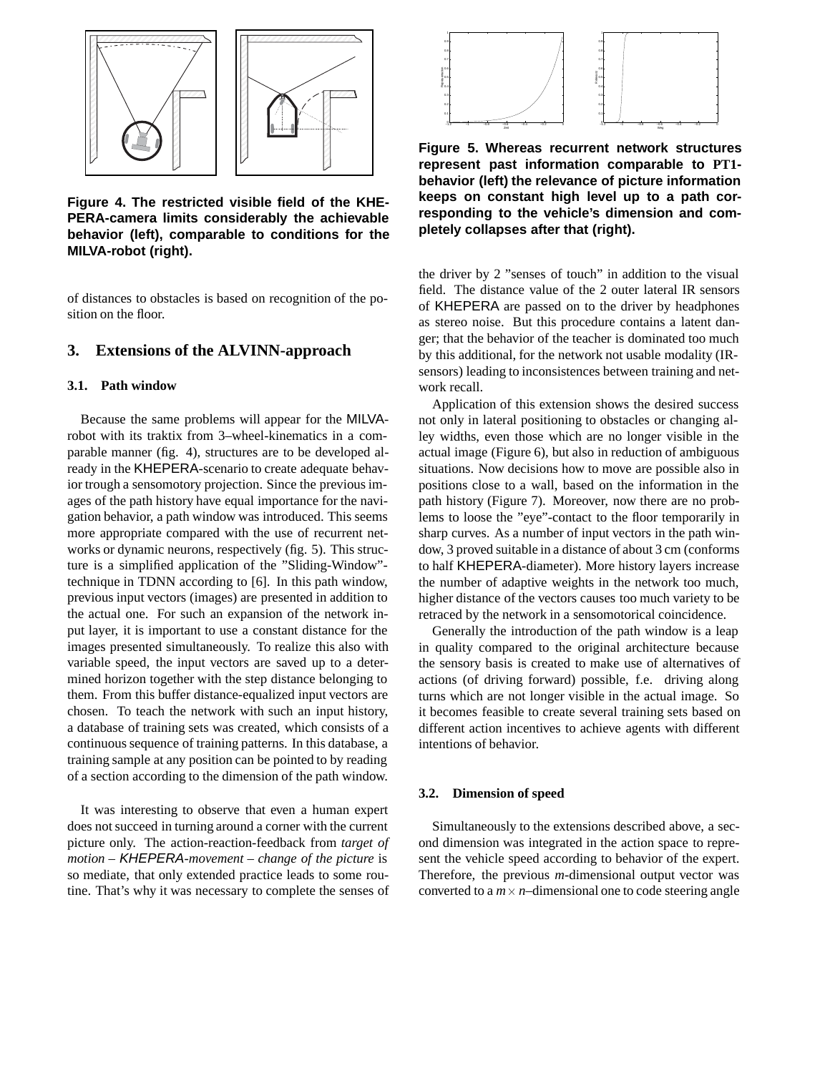

**Figure 4. The restricted visible field of the KHE-PERA-camera limits considerably the achievable behavior (left), comparable to conditions for the MILVA-robot (right).**

of distances to obstacles is based on recognition of the position on the floor.

#### **3. Extensions of the ALVINN-approach**

#### **3.1. Path window**

Because the same problems will appear for the MILVArobot with its traktix from 3–wheel-kinematics in a comparable manner (fig. 4), structures are to be developed already in the KHEPERA-scenario to create adequate behavior trough a sensomotory projection. Since the previous images of the path history have equal importance for the navigation behavior, a path window was introduced. This seems more appropriate compared with the use of recurrent networks or dynamic neurons, respectively (fig. 5). This structure is a simplified application of the "Sliding-Window" technique in TDNN according to [6]. In this path window, previous input vectors (images) are presented in addition to the actual one. For such an expansion of the network input layer, it is important to use a constant distance for the images presented simultaneously. To realize this also with variable speed, the input vectors are saved up to a determined horizon together with the step distance belonging to them. From this buffer distance-equalized input vectors are chosen. To teach the network with such an input history, a database of training sets was created, which consists of a continuous sequence of training patterns. In this database, a training sample at any position can be pointed to by reading of a section according to the dimension of the path window.

It was interesting to observe that even a human expert does not succeed in turning around a corner with the current picture only. The action-reaction-feedback from *target of motion – KHEPERA-movement – change of the picture* is so mediate, that only extended practice leads to some routine. That's why it was necessary to complete the senses of



**Figure 5. Whereas recurrent network structures represent past information comparable to PT1 behavior (left) the relevance of picture information keeps on constant high level up to a path corresponding to the vehicle's dimension and completely collapses after that (right).**

the driver by 2 "senses of touch" in addition to the visual field. The distance value of the 2 outer lateral IR sensors of KHEPERA are passed on to the driver by headphones as stereo noise. But this procedure contains a latent danger; that the behavior of the teacher is dominated too much by this additional, for the network not usable modality (IRsensors) leading to inconsistences between training and network recall.

Application of this extension shows the desired success not only in lateral positioning to obstacles or changing alley widths, even those which are no longer visible in the actual image (Figure 6), but also in reduction of ambiguous situations. Now decisions how to move are possible also in positions close to a wall, based on the information in the path history (Figure 7). Moreover, now there are no problems to loose the "eye"-contact to the floor temporarily in sharp curves. As a number of input vectors in the path window, 3 proved suitable in a distance of about 3 cm (conforms to half KHEPERA-diameter). More history layers increase the number of adaptive weights in the network too much, higher distance of the vectors causes too much variety to be retraced by the network in a sensomotorical coincidence.

Generally the introduction of the path window is a leap in quality compared to the original architecture because the sensory basis is created to make use of alternatives of actions (of driving forward) possible, f.e. driving along turns which are not longer visible in the actual image. So it becomes feasible to create several training sets based on different action incentives to achieve agents with different intentions of behavior.

#### **3.2. Dimension of speed**

Simultaneously to the extensions described above, a second dimension was integrated in the action space to represent the vehicle speed according to behavior of the expert. Therefore, the previous *m*-dimensional output vector was converted to a  $m \times n$ –dimensional one to code steering angle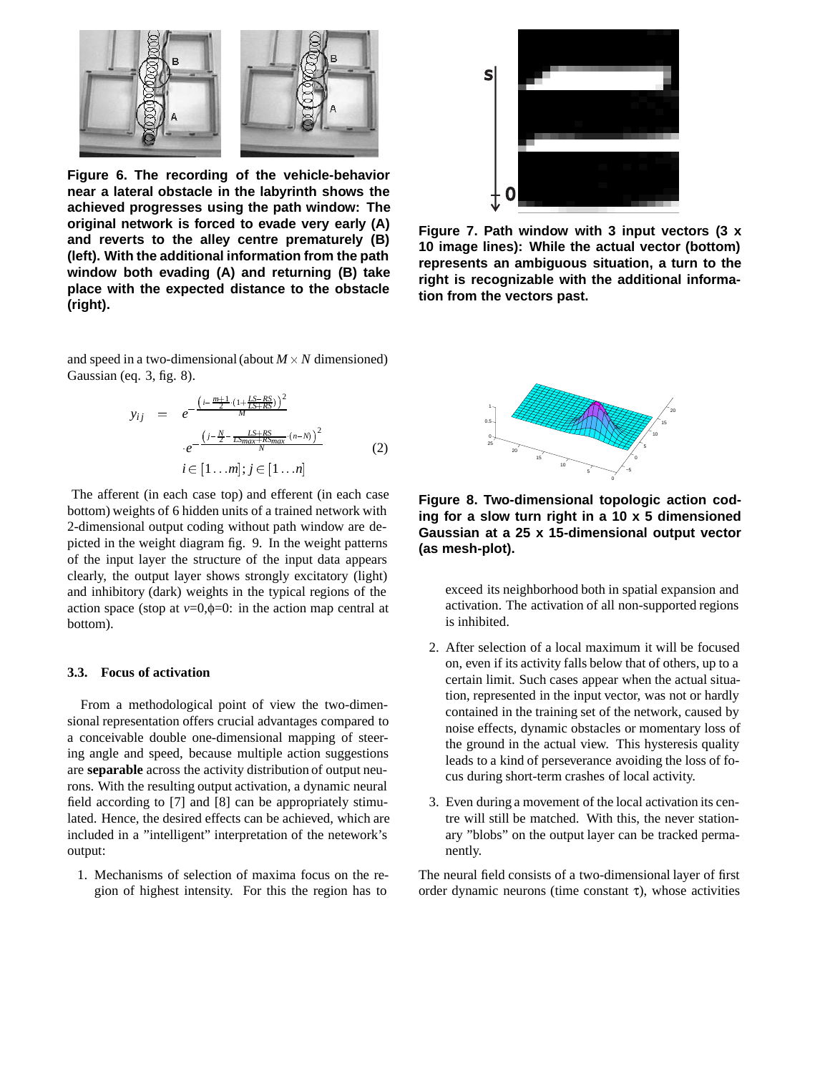

**Figure 6. The recording of the vehicle-behavior near a lateral obstacle in the labyrinth shows the achieved progresses using the path window: The original network is forced to evade very early (A) and reverts to the alley centre prematurely (B) (left). With the additional information from the path window both evading (A) and returning (B) take place with the expected distance to the obstacle (right).**

and speed in a two-dimensional (about  $M \times N$  dimensioned) Gaussian (eq. 3, fig. 8).

$$
y_{ij} = e^{-\frac{\left(i - \frac{m+1}{2} \cdot (1 + \frac{f_S - RS}{2S + RS)}\right)^2}{M} \cdot e^{-\frac{\left(j - \frac{V}{2} - \frac{LS + RS}{2S - RS}\right)^2}{K} \cdot (n - N)} \cdot i \in [1 \dots m]; j \in [1 \dots n]
$$
\n(2)

The afferent (in each case top) and efferent (in each case bottom) weights of 6 hidden units of a trained network with 2-dimensional output coding without path window are depicted in the weight diagram fig. 9. In the weight patterns of the input layer the structure of the input data appears clearly, the output layer shows strongly excitatory (light) and inhibitory (dark) weights in the typical regions of the action space (stop at  $v=0, \phi=0$ : in the action map central at bottom).

#### **3.3. Focus of activation**

From a methodological point of view the two-dimensional representation offers crucial advantages compared to a conceivable double one-dimensional mapping of steering angle and speed, because multiple action suggestions are **separable** across the activity distribution of output neurons. With the resulting output activation, a dynamic neural field according to [7] and [8] can be appropriately stimulated. Hence, the desired effects can be achieved, which are included in a "intelligent" interpretation of the netework's output:

1. Mechanisms of selection of maxima focus on the region of highest intensity. For this the region has to



**Figure 7. Path window with 3 input vectors (3 x 10 image lines): While the actual vector (bottom) represents an ambiguous situation, a turn to the right is recognizable with the additional information from the vectors past.**



**Figure 8. Two-dimensional topologic action coding for a slow turn right in a 10 x 5 dimensioned Gaussian at a 25 x 15-dimensional output vector (as mesh-plot).**

exceed its neighborhood both in spatial expansion and activation. The activation of all non-supported regions is inhibited.

- 2. After selection of a local maximum it will be focused on, even if its activity falls below that of others, up to a certain limit. Such cases appear when the actual situation, represented in the input vector, was not or hardly contained in the training set of the network, caused by noise effects, dynamic obstacles or momentary loss of the ground in the actual view. This hysteresis quality leads to a kind of perseverance avoiding the loss of focus during short-term crashes of local activity.
- 3. Even during a movement of the local activation its centre will still be matched. With this, the never stationary "blobs" on the output layer can be tracked permanently.

The neural field consists of a two-dimensional layer of first order dynamic neurons (time constant  $\tau$ ), whose activities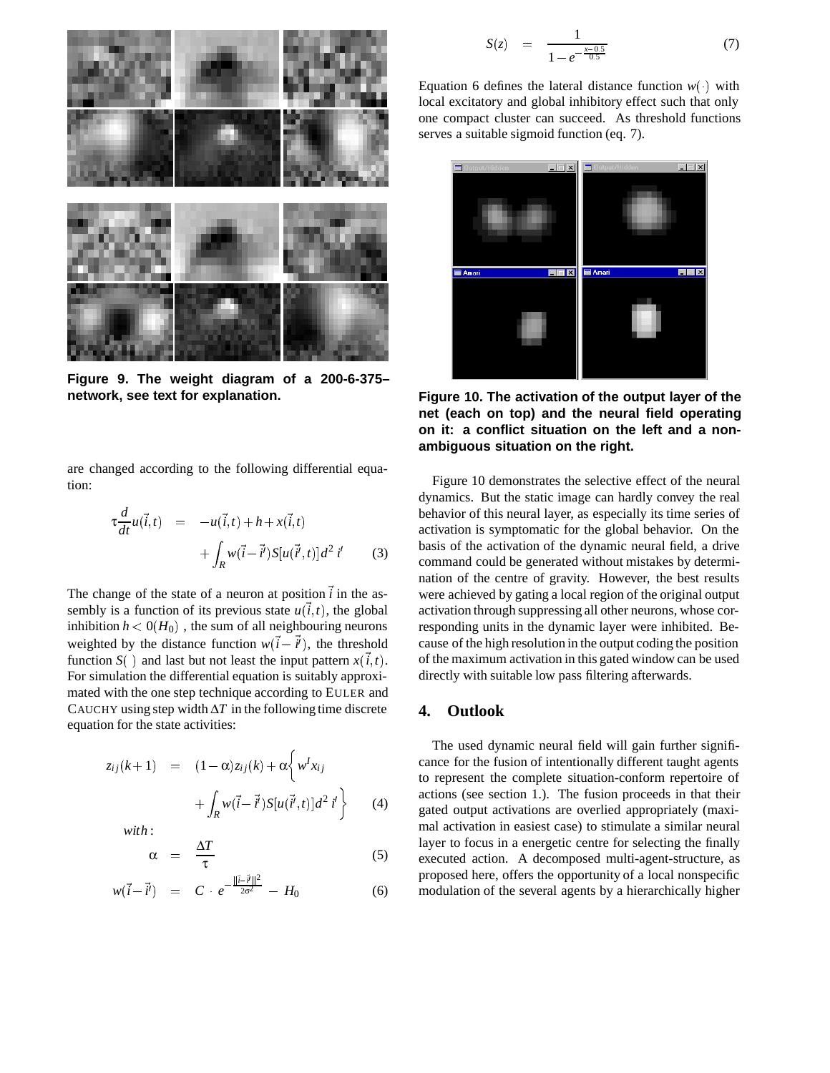

**Figure 9. The weight diagram of a 200-6-375– network, see text for explanation.**

are changed according to the following differential equation:

$$
\tau \frac{d}{dt} u(\vec{i}, t) = -u(\vec{i}, t) + h + x(\vec{i}, t) \n+ \int_{R} w(\vec{i} - \vec{i}^{\prime}) S[u(\vec{i}^{\prime}, t)] d^{2} i^{\prime}
$$
\n(3)

The change of the state of a neuron at position  $i$  in the assembly is a function of its previous state  $u(i, t)$ , the global inhibition  $h < 0(H_0)$  , the sum of all neighbouring neurons weighted by the distance function  $w(i - i')$ , the threshold function *S*( ) and last but not least the input pattern  $x(i, t)$ . For simulation the differential equation is suitably approximated with the one step technique according to EULER and CAUCHY using step width  $\Delta T$  in the following time discrete equation for the state activities:

$$
z_{ij}(k+1) = (1-\alpha)z_{ij}(k) + \alpha \left\{ w^I x_{ij} + \int_R w(\vec{i}-\vec{i}^{\prime}) S[u(\vec{i}^{\prime},t)]d^2 i^{\prime} \right\}
$$
 (4)

*with* :

$$
\alpha = \frac{\Delta T}{\tau} \tag{5}
$$

$$
w(\vec{i} - \vec{i}') = C \cdot e^{-\frac{||\vec{i} - \vec{i}'||^2}{2\sigma^2}} - H_0 \tag{6}
$$

$$
S(z) = \frac{1}{1 - e^{-\frac{x - 0.5}{0.5}}} \tag{7}
$$

Equation 6 defines the lateral distance function  $w(\cdot)$  with local excitatory and global inhibitory effect such that only one compact cluster can succeed. As threshold functions serves a suitable sigmoid function (eq. 7).



**Figure 10. The activation of the output layer of the net (each on top) and the neural field operating on it: a conflict situation on the left and a nonambiguous situation on the right.**

Figure 10 demonstrates the selective effect of the neural dynamics. But the static image can hardly convey the real behavior of this neural layer, as especially its time series of activation is symptomatic for the global behavior. On the basis of the activation of the dynamic neural field, a drive command could be generated without mistakes by determination of the centre of gravity. However, the best results were achieved by gating a local region of the original output activation through suppressing all other neurons, whose corresponding units in the dynamic layer were inhibited. Because of the high resolution in the output coding the position of the maximum activation in this gated window can be used directly with suitable low pass filtering afterwards.

### **4. Outlook**

The used dynamic neural field will gain further significance for the fusion of intentionally different taught agents to represent the complete situation-conform repertoire of actions (see section 1.). The fusion proceeds in that their gated output activations are overlied appropriately (maximal activation in easiest case) to stimulate a similar neural layer to focus in a energetic centre for selecting the finally executed action. A decomposed multi-agent-structure, as proposed here, offers the opportunity of a local nonspecific modulation of the several agents by a hierarchically higher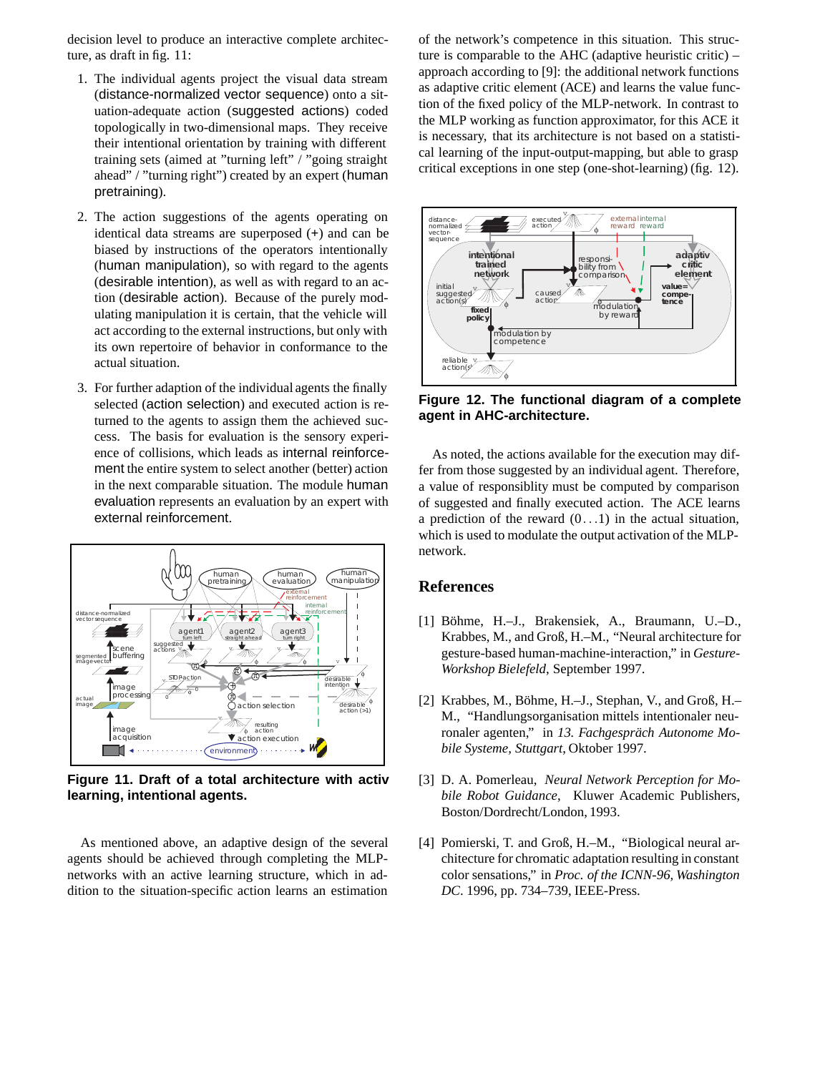decision level to produce an interactive complete architecture, as draft in fig. 11:

- 1. The individual agents project the visual data stream (distance-normalized vector sequence) onto a situation-adequate action (suggested actions) coded topologically in two-dimensional maps. They receive their intentional orientation by training with different training sets (aimed at "turning left" / "going straight ahead" / "turning right") created by an expert (human pretraining).
- 2. The action suggestions of the agents operating on identical data streams are superposed (**+**) and can be biased by instructions of the operators intentionally (human manipulation), so with regard to the agents (desirable intention), as well as with regard to an action (desirable action). Because of the purely modulating manipulation it is certain, that the vehicle will act according to the external instructions, but only with its own repertoire of behavior in conformance to the actual situation.
- 3. For further adaption of the individual agents the finally selected (action selection) and executed action is returned to the agents to assign them the achieved success. The basis for evaluation is the sensory experience of collisions, which leads as internal reinforcement the entire system to select another (better) action in the next comparable situation. The module human evaluation represents an evaluation by an expert with external reinforcement.



**Figure 11. Draft of a total architecture with activ learning, intentional agents.**

As mentioned above, an adaptive design of the several agents should be achieved through completing the MLPnetworks with an active learning structure, which in addition to the situation-specific action learns an estimation

of the network's competence in this situation. This structure is comparable to the AHC (adaptive heuristic critic) – approach according to [9]: the additional network functions as adaptive critic element (ACE) and learns the value function of the fixed policy of the MLP-network. In contrast to the MLP working as function approximator, for this ACE it is necessary, that its architecture is not based on a statistical learning of the input-output-mapping, but able to grasp critical exceptions in one step (one-shot-learning) (fig. 12).



**Figure 12. The functional diagram of a complete agent in AHC-architecture.**

As noted, the actions available for the execution may differ from those suggested by an individual agent. Therefore, a value of responsiblity must be computed by comparison of suggested and finally executed action. The ACE learns a prediction of the reward  $(0 \t1)$  in the actual situation, which is used to modulate the output activation of the MLPnetwork.

#### **References**

- [1] Böhme, H.-J., Brakensiek, A., Braumann, U.-D., Krabbes, M., and Groß, H.–M., "Neural architecture for gesture-based human-machine-interaction," in *Gesture-Workshop Bielefeld*, September 1997.
- [2] Krabbes, M., Böhme, H.–J., Stephan, V., and Groß, H.– M., "Handlungsorganisation mittels intentionaler neuronaler agenten," in 13. Fachgespräch Autonome Mo*bile Systeme, Stuttgart*, Oktober 1997.
- [3] D. A. Pomerleau, *Neural Network Perception for Mobile Robot Guidance*, Kluwer Academic Publishers, Boston/Dordrecht/London, 1993.
- [4] Pomierski, T. and Groß, H.–M., "Biological neural architecture for chromatic adaptation resulting in constant color sensations," in *Proc. of the ICNN-96, Washington DC*. 1996, pp. 734–739, IEEE-Press.